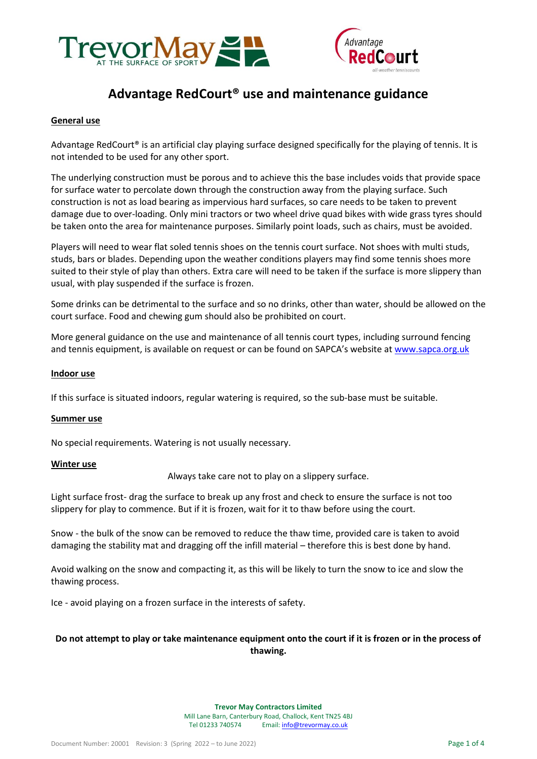



# **Advantage RedCourt® use and maintenance guidance**

#### **General use**

Advantage RedCourt® is an artificial clay playing surface designed specifically for the playing of tennis. It is not intended to be used for any other sport.

The underlying construction must be porous and to achieve this the base includes voids that provide space for surface water to percolate down through the construction away from the playing surface. Such construction is not as load bearing as impervious hard surfaces, so care needs to be taken to prevent damage due to over-loading. Only mini tractors or two wheel drive quad bikes with wide grass tyres should be taken onto the area for maintenance purposes. Similarly point loads, such as chairs, must be avoided.

Players will need to wear flat soled tennis shoes on the tennis court surface. Not shoes with multi studs, studs, bars or blades. Depending upon the weather conditions players may find some tennis shoes more suited to their style of play than others. Extra care will need to be taken if the surface is more slippery than usual, with play suspended if the surface is frozen.

Some drinks can be detrimental to the surface and so no drinks, other than water, should be allowed on the court surface. Food and chewing gum should also be prohibited on court.

More general guidance on the use and maintenance of all tennis court types, including surround fencing and tennis equipment, is available on request or can be found on SAPCA's website at [www.sapca.org.uk](http://www.sapca.org.uk/)

#### **Indoor use**

If this surface is situated indoors, regular watering is required, so the sub-base must be suitable.

#### **Summer use**

No special requirements. Watering is not usually necessary.

#### **Winter use**

Always take care not to play on a slippery surface.

Light surface frost- drag the surface to break up any frost and check to ensure the surface is not too slippery for play to commence. But if it is frozen, wait for it to thaw before using the court.

Snow - the bulk of the snow can be removed to reduce the thaw time, provided care is taken to avoid damaging the stability mat and dragging off the infill material – therefore this is best done by hand.

Avoid walking on the snow and compacting it, as this will be likely to turn the snow to ice and slow the thawing process.

Ice - avoid playing on a frozen surface in the interests of safety.

# **Do not attempt to play or take maintenance equipment onto the court if it is frozen or in the process of thawing.**

#### **Trevor May Contractors Limited**

Mill Lane Barn, Canterbury Road, Challock, Kent TN25 4BJ Tel 01233 740574 Email[: info@trevormay.co.uk](mailto:info@trevormay.co.uk)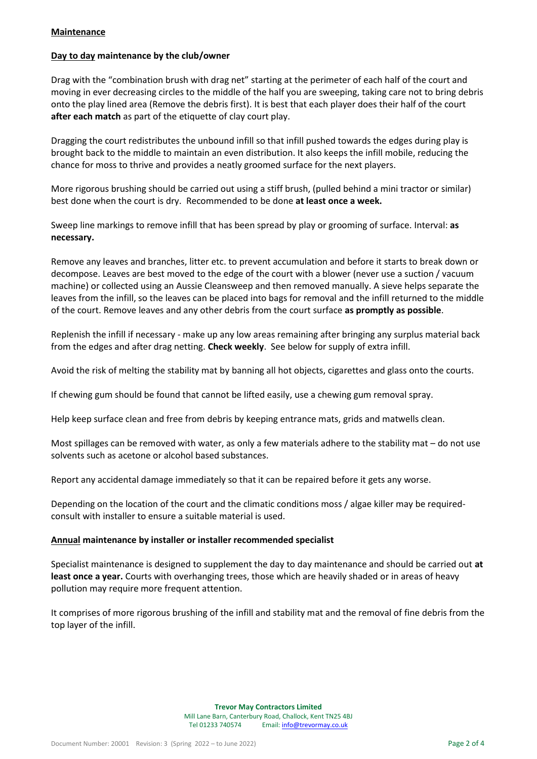### **Maintenance**

# **Day to day maintenance by the club/owner**

Drag with the "combination brush with drag net" starting at the perimeter of each half of the court and moving in ever decreasing circles to the middle of the half you are sweeping, taking care not to bring debris onto the play lined area (Remove the debris first). It is best that each player does their half of the court **after each match** as part of the etiquette of clay court play.

Dragging the court redistributes the unbound infill so that infill pushed towards the edges during play is brought back to the middle to maintain an even distribution. It also keeps the infill mobile, reducing the chance for moss to thrive and provides a neatly groomed surface for the next players.

More rigorous brushing should be carried out using a stiff brush, (pulled behind a mini tractor or similar) best done when the court is dry. Recommended to be done **at least once a week.**

Sweep line markings to remove infill that has been spread by play or grooming of surface. Interval: **as necessary.**

Remove any leaves and branches, litter etc. to prevent accumulation and before it starts to break down or decompose. Leaves are best moved to the edge of the court with a blower (never use a suction / vacuum machine) or collected using an Aussie Cleansweep and then removed manually. A sieve helps separate the leaves from the infill, so the leaves can be placed into bags for removal and the infill returned to the middle of the court. Remove leaves and any other debris from the court surface **as promptly as possible**.

Replenish the infill if necessary - make up any low areas remaining after bringing any surplus material back from the edges and after drag netting. **Check weekly**. See below for supply of extra infill.

Avoid the risk of melting the stability mat by banning all hot objects, cigarettes and glass onto the courts.

If chewing gum should be found that cannot be lifted easily, use a chewing gum removal spray.

Help keep surface clean and free from debris by keeping entrance mats, grids and matwells clean.

Most spillages can be removed with water, as only a few materials adhere to the stability mat – do not use solvents such as acetone or alcohol based substances.

Report any accidental damage immediately so that it can be repaired before it gets any worse.

Depending on the location of the court and the climatic conditions moss / algae killer may be requiredconsult with installer to ensure a suitable material is used.

#### **Annual maintenance by installer or installer recommended specialist**

Specialist maintenance is designed to supplement the day to day maintenance and should be carried out **at least once a year.** Courts with overhanging trees, those which are heavily shaded or in areas of heavy pollution may require more frequent attention.

It comprises of more rigorous brushing of the infill and stability mat and the removal of fine debris from the top layer of the infill.

> **Trevor May Contractors Limited** Mill Lane Barn, Canterbury Road, Challock, Kent TN25 4BJ Tel 01233 740574 Email[: info@trevormay.co.uk](mailto:info@trevormay.co.uk)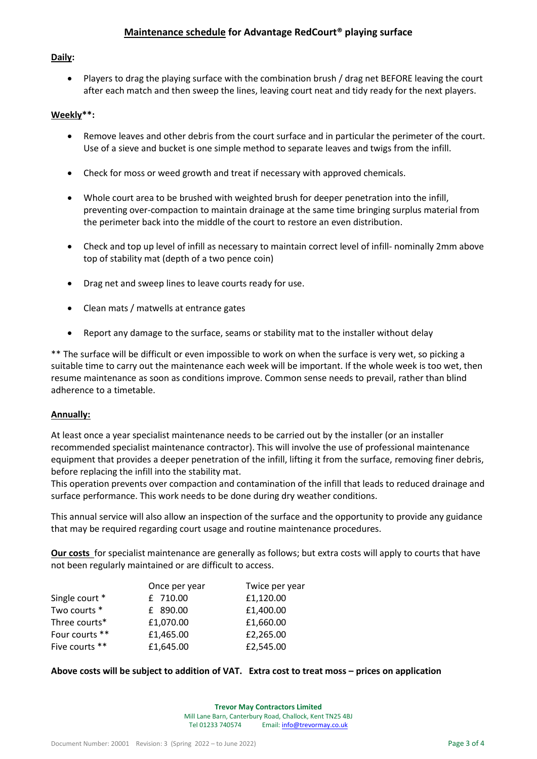# **Daily:**

 Players to drag the playing surface with the combination brush / drag net BEFORE leaving the court after each match and then sweep the lines, leaving court neat and tidy ready for the next players.

# **Weekly\*\*:**

- Remove leaves and other debris from the court surface and in particular the perimeter of the court. Use of a sieve and bucket is one simple method to separate leaves and twigs from the infill.
- Check for moss or weed growth and treat if necessary with approved chemicals.
- Whole court area to be brushed with weighted brush for deeper penetration into the infill, preventing over-compaction to maintain drainage at the same time bringing surplus material from the perimeter back into the middle of the court to restore an even distribution.
- Check and top up level of infill as necessary to maintain correct level of infill- nominally 2mm above top of stability mat (depth of a two pence coin)
- Drag net and sweep lines to leave courts ready for use.
- Clean mats / matwells at entrance gates
- Report any damage to the surface, seams or stability mat to the installer without delay

\*\* The surface will be difficult or even impossible to work on when the surface is very wet, so picking a suitable time to carry out the maintenance each week will be important. If the whole week is too wet, then resume maintenance as soon as conditions improve. Common sense needs to prevail, rather than blind adherence to a timetable.

# **Annually:**

At least once a year specialist maintenance needs to be carried out by the installer (or an installer recommended specialist maintenance contractor). This will involve the use of professional maintenance equipment that provides a deeper penetration of the infill, lifting it from the surface, removing finer debris, before replacing the infill into the stability mat.

This operation prevents over compaction and contamination of the infill that leads to reduced drainage and surface performance. This work needs to be done during dry weather conditions.

This annual service will also allow an inspection of the surface and the opportunity to provide any guidance that may be required regarding court usage and routine maintenance procedures.

**Our costs** for specialist maintenance are generally as follows; but extra costs will apply to courts that have not been regularly maintained or are difficult to access.

|                | Once per year | Twice per year |
|----------------|---------------|----------------|
| Single court * | £ 710.00      | £1,120.00      |
| Two courts *   | £ 890.00      | £1,400.00      |
| Three courts*  | £1,070.00     | £1,660.00      |
| Four courts ** | £1,465.00     | £2,265.00      |
| Five courts ** | £1,645.00     | £2,545.00      |

# **Above costs will be subject to addition of VAT. Extra cost to treat moss – prices on application**